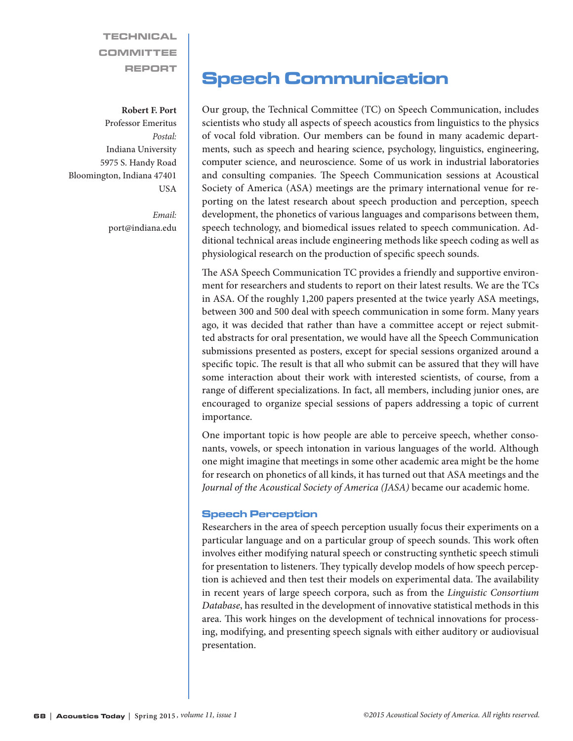**TECHNICAL** COMMITTEE REPORT

## **Robert F. Port**

Professor Emeritus *Postal:* Indiana University 5975 S. Handy Road Bloomington, Indiana 47401 **IISA** 

> *Email:* port@indiana.edu

# Speech Communication

Our group, the Technical Committee (TC) on Speech Communication, includes scientists who study all aspects of speech acoustics from linguistics to the physics of vocal fold vibration. Our members can be found in many academic departments, such as speech and hearing science, psychology, linguistics, engineering, computer science, and neuroscience. Some of us work in industrial laboratories and consulting companies. The Speech Communication sessions at Acoustical Society of America (ASA) meetings are the primary international venue for reporting on the latest research about speech production and perception, speech development, the phonetics of various languages and comparisons between them, speech technology, and biomedical issues related to speech communication. Additional technical areas include engineering methods like speech coding as well as physiological research on the production of specific speech sounds.

The ASA Speech Communication TC provides a friendly and supportive environment for researchers and students to report on their latest results. We are the TCs in ASA. Of the roughly 1,200 papers presented at the twice yearly ASA meetings, between 300 and 500 deal with speech communication in some form. Many years ago, it was decided that rather than have a committee accept or reject submitted abstracts for oral presentation, we would have all the Speech Communication submissions presented as posters, except for special sessions organized around a specific topic. The result is that all who submit can be assured that they will have some interaction about their work with interested scientists, of course, from a range of different specializations. In fact, all members, including junior ones, are encouraged to organize special sessions of papers addressing a topic of current importance.

One important topic is how people are able to perceive speech, whether consonants, vowels, or speech intonation in various languages of the world. Although one might imagine that meetings in some other academic area might be the home for research on phonetics of all kinds, it has turned out that ASA meetings and the *Journal of the Acoustical Society of America (JASA)* became our academic home.

# Speech Perception

Researchers in the area of speech perception usually focus their experiments on a particular language and on a particular group of speech sounds. This work often involves either modifying natural speech or constructing synthetic speech stimuli for presentation to listeners. They typically develop models of how speech perception is achieved and then test their models on experimental data. The availability in recent years of large speech corpora, such as from the *Linguistic Consortium Database*, has resulted in the development of innovative statistical methods in this area. This work hinges on the development of technical innovations for processing, modifying, and presenting speech signals with either auditory or audiovisual presentation.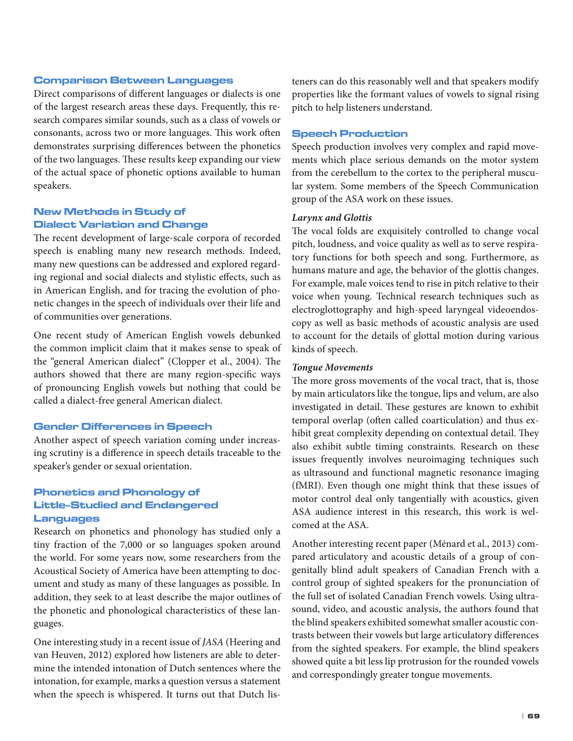#### Comparison Between Languages

Direct comparisons of different languages or dialects is one of the largest research areas these days. Frequently, this research compares similar sounds, such as a class of vowels or consonants, across two or more languages. This work often demonstrates surprising differences between the phonetics of the two languages. These results keep expanding our view of the actual space of phonetic options available to human speakers.

# New Methods in Study of Dialect Variation and Change

The recent development of large-scale corpora of recorded speech is enabling many new research methods. Indeed, many new questions can be addressed and explored regarding regional and social dialects and stylistic effects, such as in American English, and for tracing the evolution of phonetic changes in the speech of individuals over their life and of communities over generations.

One recent study of American English vowels debunked the common implicit claim that it makes sense to speak of the "general American dialect" (Clopper et al., 2004). The authors showed that there are many region-specific ways of pronouncing English vowels but nothing that could be called a dialect-free general American dialect.

# Gender Differences in Speech

Another aspect of speech variation coming under increasing scrutiny is a difference in speech details traceable to the speaker's gender or sexual orientation.

# Phonetics and Phonology of Little-Studied and Endangered Languages

Research on phonetics and phonology has studied only a tiny fraction of the 7,000 or so languages spoken around the world. For some years now, some researchers from the Acoustical Society of America have been attempting to document and study as many of these languages as possible. In addition, they seek to at least describe the major outlines of the phonetic and phonological characteristics of these languages.

One interesting study in a recent issue of *JASA* (Heering and van Heuven, 2012) explored how listeners are able to determine the intended intonation of Dutch sentences where the intonation, for example, marks a question versus a statement when the speech is whispered. It turns out that Dutch listeners can do this reasonably well and that speakers modify properties like the formant values of vowels to signal rising pitch to help listeners understand.

## Speech Production

Speech production involves very complex and rapid movements which place serious demands on the motor system from the cerebellum to the cortex to the peripheral muscular system. Some members of the Speech Communication group of the ASA work on these issues.

## *Larynx and Glottis*

The vocal folds are exquisitely controlled to change vocal pitch, loudness, and voice quality as well as to serve respiratory functions for both speech and song. Furthermore, as humans mature and age, the behavior of the glottis changes. For example, male voices tend to rise in pitch relative to their voice when young. Technical research techniques such as electroglottography and high-speed laryngeal videoendoscopy as well as basic methods of acoustic analysis are used to account for the details of glottal motion during various kinds of speech.

#### *Tongue Movements*

The more gross movements of the vocal tract, that is, those by main articulators like the tongue, lips and velum, are also investigated in detail. These gestures are known to exhibit temporal overlap (often called coarticulation) and thus exhibit great complexity depending on contextual detail. They also exhibit subtle timing constraints. Research on these issues frequently involves neuroimaging techniques such as ultrasound and functional magnetic resonance imaging (fMRI). Even though one might think that these issues of motor control deal only tangentially with acoustics, given ASA audience interest in this research, this work is welcomed at the ASA.

Another interesting recent paper (Ménard et al., 2013) compared articulatory and acoustic details of a group of congenitally blind adult speakers of Canadian French with a control group of sighted speakers for the pronunciation of the full set of isolated Canadian French vowels. Using ultrasound, video, and acoustic analysis, the authors found that the blind speakers exhibited somewhat smaller acoustic contrasts between their vowels but large articulatory differences from the sighted speakers. For example, the blind speakers showed quite a bit less lip protrusion for the rounded vowels and correspondingly greater tongue movements.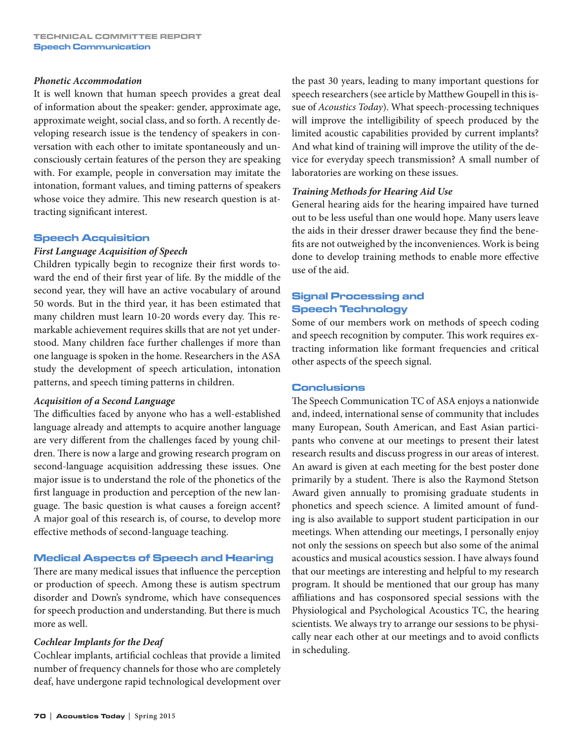#### *Phonetic Accommodation*

It is well known that human speech provides a great deal of information about the speaker: gender, approximate age, approximate weight, social class, and so forth. A recently developing research issue is the tendency of speakers in conversation with each other to imitate spontaneously and unconsciously certain features of the person they are speaking with. For example, people in conversation may imitate the intonation, formant values, and timing patterns of speakers whose voice they admire. This new research question is attracting significant interest.

# Speech Acquisition

# *First Language Acquisition of Speech*

Children typically begin to recognize their first words toward the end of their first year of life. By the middle of the second year, they will have an active vocabulary of around 50 words. But in the third year, it has been estimated that many children must learn 10-20 words every day. This remarkable achievement requires skills that are not yet understood. Many children face further challenges if more than one language is spoken in the home. Researchers in the ASA study the development of speech articulation, intonation patterns, and speech timing patterns in children.

#### *Acquisition of a Second Language*

The difficulties faced by anyone who has a well-established language already and attempts to acquire another language are very different from the challenges faced by young children. There is now a large and growing research program on second-language acquisition addressing these issues. One major issue is to understand the role of the phonetics of the first language in production and perception of the new language. The basic question is what causes a foreign accent? A major goal of this research is, of course, to develop more effective methods of second-language teaching.

# Medical Aspects of Speech and Hearing

There are many medical issues that influence the perception or production of speech. Among these is autism spectrum disorder and Down's syndrome, which have consequences for speech production and understanding. But there is much more as well.

#### *Cochlear Implants for the Deaf*

Cochlear implants, artificial cochleas that provide a limited number of frequency channels for those who are completely deaf, have undergone rapid technological development over

the past 30 years, leading to many important questions for speech researchers (see article by Matthew Goupell in this issue of *Acoustics Today*). What speech-processing techniques will improve the intelligibility of speech produced by the limited acoustic capabilities provided by current implants? And what kind of training will improve the utility of the device for everyday speech transmission? A small number of laboratories are working on these issues.

# *Training Methods for Hearing Aid Use*

General hearing aids for the hearing impaired have turned out to be less useful than one would hope. Many users leave the aids in their dresser drawer because they find the benefits are not outweighed by the inconveniences. Work is being done to develop training methods to enable more effective use of the aid.

# Signal Processing and Speech Technology

Some of our members work on methods of speech coding and speech recognition by computer. This work requires extracting information like formant frequencies and critical other aspects of the speech signal.

#### Conclusions

The Speech Communication TC of ASA enjoys a nationwide and, indeed, international sense of community that includes many European, South American, and East Asian participants who convene at our meetings to present their latest research results and discuss progress in our areas of interest. An award is given at each meeting for the best poster done primarily by a student. There is also the Raymond Stetson Award given annually to promising graduate students in phonetics and speech science. A limited amount of funding is also available to support student participation in our meetings. When attending our meetings, I personally enjoy not only the sessions on speech but also some of the animal acoustics and musical acoustics session. I have always found that our meetings are interesting and helpful to my research program. It should be mentioned that our group has many affiliations and has cosponsored special sessions with the Physiological and Psychological Acoustics TC, the hearing scientists. We always try to arrange our sessions to be physically near each other at our meetings and to avoid conflicts in scheduling.